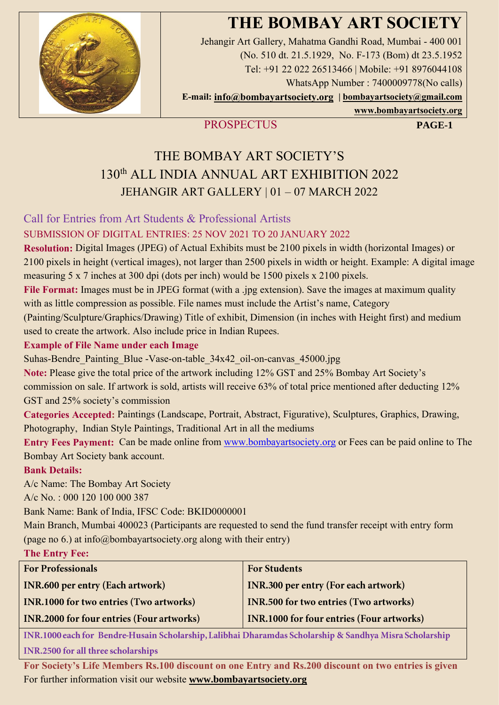# **THE BOMBAY ART SOCIETY**



Jehangir Art Gallery, Mahatma Gandhi Road, Mumbai - 400 001 (No. 510 dt. 21.5.1929, No. F-173 (Bom) dt 23.5.1952 Tel: +91 22 022 26513466 | Mobile: +91 8976044108 WhatsApp Number : 7400009778(No calls) **E-mail: [info@bombayartsociety.org](mailto:info@bombayartsociety.org) | [bombayartsociety@gmail.com](mailto:bombayartsociety@gmail.com)**

**[www.bombayartsociety.org](http://www.bombayartsociety.org/)**

# **PROSPECTUS PAGE-1**

# THE BOMBAY ART SOCIETY'S 130th ALL INDIA ANNUAL ART EXHIBITION 2022 JEHANGIR ART GALLERY | 01 – 07 MARCH 2022

# Call for Entries from Art Students & Professional Artists

# SUBMISSION OF DIGITAL ENTRIES: 25 NOV 2021 TO 20 JANUARY 2022

**Resolution:** Digital Images (JPEG) of Actual Exhibits must be 2100 pixels in width (horizontal Images) or 2100 pixels in height (vertical images), not larger than 2500 pixels in width or height. Example: A digital image measuring 5 x 7 inches at 300 dpi (dots per inch) would be 1500 pixels x 2100 pixels.

**File Format:** Images must be in JPEG format (with a .jpg extension). Save the images at maximum quality with as little compression as possible. File names must include the Artist's name, Category

(Painting/Sculpture/Graphics/Drawing) Title of exhibit, Dimension (in inches with Height first) and medium used to create the artwork. Also include price in Indian Rupees.

## **Example of File Name under each Image**

Suhas-Bendre Painting Blue -Vase-on-table 34x42 oil-on-canvas 45000.jpg

**Note:** Please give the total price of the artwork including 12% GST and 25% Bombay Art Society's

commission on sale. If artwork is sold, artists will receive 63% of total price mentioned after deducting 12% GST and 25% society's commission

**Categories Accepted:** Paintings (Landscape, Portrait, Abstract, Figurative), Sculptures, Graphics, Drawing, Photography, Indian Style Paintings, Traditional Art in all the mediums

**Entry Fees Payment:** Can be made online from [www.bombayartsociety.org](http://www.bombayartsociety.org/) or Fees can be paid online to The Bombay Art Society bank account.

## **Bank Details:**

A/c Name: The Bombay Art Society

A/c No. : 000 120 100 000 387

Bank Name: Bank of India, IFSC Code: BKID0000001

Main Branch, Mumbai 400023 (Participants are requested to send the fund transfer receipt with entry form (page no 6.) at info@bombayartsociety.org along with their entry)

## **The Entry Fee:**

| <b>For Professionals</b>                         | <b>For Students</b>                              |
|--------------------------------------------------|--------------------------------------------------|
| <b>INR.600 per entry (Each artwork)</b>          | <b>INR.300 per entry (For each artwork)</b>      |
| <b>INR.1000 for two entries (Two artworks)</b>   | <b>INR.500 for two entries (Two artworks)</b>    |
| <b>INR.2000 for four entries (Four artworks)</b> | <b>INR.1000 for four entries (Four artworks)</b> |

INR.1000 each for Bendre-Husain Scholarship, Lalibhai Dharamdas Scholarship & Sandhya Misra Scholarship INR.2500 for all three scholarships

**For Society's Life Members Rs.100 discount on one Entry and Rs.200 discount on two entries is given**  For further information visit our website **[www.bombayartsociety.org](http://www.bombayartsociety.org/)**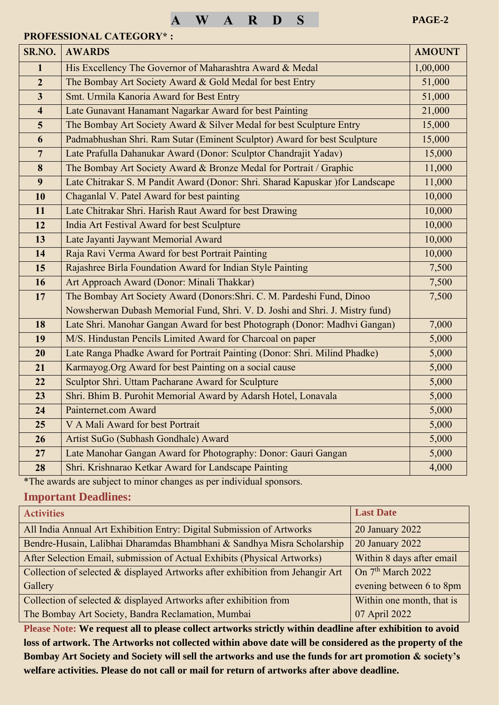#### **PROFESSIONAL CATEGORY\* :**

| SR.NO.                  | <b>AWARDS</b>                                                                  | <b>AMOUNT</b> |
|-------------------------|--------------------------------------------------------------------------------|---------------|
| $\mathbf{1}$            | His Excellency The Governor of Maharashtra Award & Medal                       | 1,00,000      |
| $\overline{2}$          | The Bombay Art Society Award & Gold Medal for best Entry                       | 51,000        |
| $\overline{\mathbf{3}}$ | Smt. Urmila Kanoria Award for Best Entry                                       | 51,000        |
| $\overline{\mathbf{4}}$ | Late Gunavant Hanamant Nagarkar Award for best Painting                        | 21,000        |
| 5                       | The Bombay Art Society Award & Silver Medal for best Sculpture Entry           | 15,000        |
| 6                       | Padmabhushan Shri. Ram Sutar (Eminent Sculptor) Award for best Sculpture       | 15,000        |
| $\overline{7}$          | Late Prafulla Dahanukar Award (Donor: Sculptor Chandrajit Yadav)               | 15,000        |
| 8                       | The Bombay Art Society Award & Bronze Medal for Portrait / Graphic             | 11,000        |
| 9                       | Late Chitrakar S. M Pandit Award (Donor: Shri. Sharad Kapuskar ) for Landscape | 11,000        |
| 10                      | Chaganlal V. Patel Award for best painting                                     | 10,000        |
| 11                      | Late Chitrakar Shri. Harish Raut Award for best Drawing                        | 10,000        |
| 12                      | India Art Festival Award for best Sculpture                                    | 10,000        |
| 13                      | Late Jayanti Jaywant Memorial Award                                            | 10,000        |
| 14                      | Raja Ravi Verma Award for best Portrait Painting                               | 10,000        |
| 15                      | Rajashree Birla Foundation Award for Indian Style Painting                     | 7,500         |
| 16                      | Art Approach Award (Donor: Minali Thakkar)                                     | 7,500         |
| 17                      | The Bombay Art Society Award (Donors: Shri. C. M. Pardeshi Fund, Dinoo         | 7,500         |
|                         | Nowsherwan Dubash Memorial Fund, Shri. V. D. Joshi and Shri. J. Mistry fund)   |               |
| 18                      | Late Shri. Manohar Gangan Award for best Photograph (Donor: Madhvi Gangan)     | 7,000         |
| 19                      | M/S. Hindustan Pencils Limited Award for Charcoal on paper                     | 5,000         |
| 20                      | Late Ranga Phadke Award for Portrait Painting (Donor: Shri. Milind Phadke)     | 5,000         |
| 21                      | Karmayog. Org Award for best Painting on a social cause                        | 5,000         |
| 22                      | Sculptor Shri. Uttam Pacharane Award for Sculpture                             | 5,000         |
| 23                      | Shri. Bhim B. Purohit Memorial Award by Adarsh Hotel, Lonavala                 | 5,000         |
| 24                      | Painternet.com Award                                                           | 5,000         |
| 25                      | V A Mali Award for best Portrait                                               | 5,000         |
| 26                      | Artist SuGo (Subhash Gondhale) Award                                           | 5,000         |
| 27                      | Late Manohar Gangan Award for Photography: Donor: Gauri Gangan                 | 5,000         |
| 28                      | Shri. Krishnarao Ketkar Award for Landscape Painting                           | 4,000         |

\*The awards are subject to minor changes as per individual sponsors.

# **Important Deadlines:**

| <b>Activities</b>                                                              | <b>Last Date</b>              |
|--------------------------------------------------------------------------------|-------------------------------|
| All India Annual Art Exhibition Entry: Digital Submission of Artworks          | 20 January 2022               |
| Bendre-Husain, Lalibhai Dharamdas Bhambhani & Sandhya Misra Scholarship        | 20 January 2022               |
| After Selection Email, submission of Actual Exhibits (Physical Artworks)       | Within 8 days after email     |
| Collection of selected & displayed Artworks after exhibition from Jehangir Art | On 7 <sup>th</sup> March 2022 |
| Gallery                                                                        | evening between 6 to 8pm      |
| Collection of selected & displayed Artworks after exhibition from              | Within one month, that is     |
| The Bombay Art Society, Bandra Reclamation, Mumbai                             | 07 April 2022                 |

**Please Note: We request all to please collect artworks strictly within deadline after exhibition to avoid loss of artwork. The Artworks not collected within above date will be considered as the property of the Bombay Art Society and Society will sell the artworks and use the funds for art promotion & society's welfare activities. Please do not call or mail for return of artworks after above deadline.**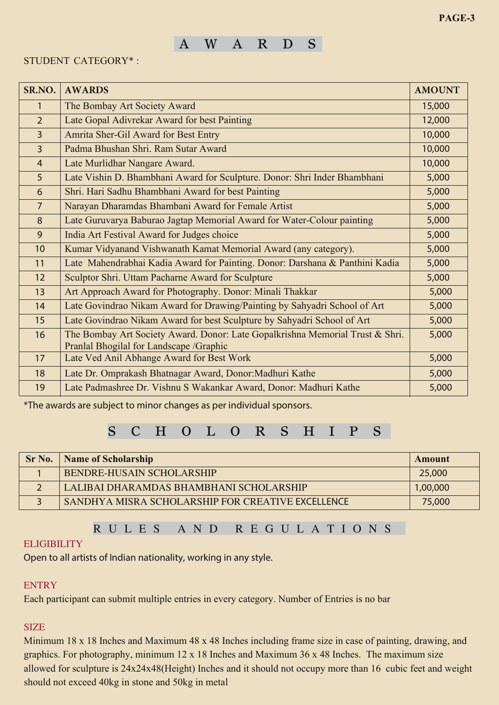# AWARD S

### STUDENT CATEGORY\* :

| SR.NO.         | <b>AWARDS</b>                                                                                                            | <b>AMOUNT</b> |
|----------------|--------------------------------------------------------------------------------------------------------------------------|---------------|
| 1              | The Bombay Art Society Award                                                                                             | 15,000        |
| $\overline{2}$ | Late Gopal Adivrekar Award for best Painting                                                                             | 12,000        |
| $\overline{3}$ | Amrita Sher-Gil Award for Best Entry                                                                                     | 10,000        |
| $\overline{3}$ | Padma Bhushan Shri, Ram Sutar Award                                                                                      | 10,000        |
| $\overline{4}$ | Late Murlidhar Nangare Award.                                                                                            | 10,000        |
| 5              | Late Vishin D. Bhambhani Award for Sculpture. Donor: Shri Inder Bhambhani                                                | 5,000         |
| 6              | Shri. Hari Sadhu Bhambhani Award for best Painting                                                                       | 5,000         |
| $\overline{7}$ | Narayan Dharamdas Bhambani Award for Female Artist                                                                       | 5,000         |
| 8              | Late Guruvarya Baburao Jagtap Memorial Award for Water-Colour painting                                                   | 5,000         |
| 9              | India Art Festival Award for Judges choice                                                                               | 5,000         |
| 10             | Kumar Vidyanand Vishwanath Kamat Memorial Award (any category).                                                          | 5,000         |
| 11             | Late Mahendrabhai Kadia Award for Painting. Donor: Darshana & Panthini Kadia                                             | 5,000         |
| 12             | Sculptor Shri. Uttam Pacharne Award for Sculpture                                                                        | 5,000         |
| 13             | Art Approach Award for Photography. Donor: Minali Thakkar                                                                | 5,000         |
| 14             | Late Govindrao Nikam Award for Drawing/Painting by Sahyadri School of Art                                                | 5,000         |
| 15             | Late Govindrao Nikam Award for best Sculpture by Sahyadri School of Art                                                  | 5,000         |
| 16             | The Bombay Art Society Award. Donor: Late Gopalkrishna Memorial Trust & Shri.<br>Pranlal Bhogilal for Landscape /Graphic | 5,000         |
| 17             | Late Ved Anil Abhange Award for Best Work                                                                                | 5,000         |
| 18             | Late Dr. Omprakash Bhatnagar Award, Donor: Madhuri Kathe                                                                 | 5,000         |
| 19             | Late Padmashree Dr. Vishnu S Wakankar Award, Donor: Madhuri Kathe                                                        | 5,000         |

\*The awards are subject to minor changes as per individual sponsors.

# SCHOLORSHIPS

| Sr No. | <b>Name of Scholarship</b>                        | Amount   |
|--------|---------------------------------------------------|----------|
|        | BENDRE-HUSAIN SCHOLARSHIP                         | 25,000   |
|        | LALIBAI DHARAMDAS BHAMBHANI SCHOLARSHIP           | 1,00,000 |
|        | SANDHYA MISRA SCHOLARSHIP FOR CREATIVE EXCELLENCE | 75,000   |

# R U L E S AND R E G U L A T I O N S

#### **ELIGIBILITY**

Open to all artists of Indian nationality, working in any style.

#### **ENTRY**

Each participant can submit multiple entries in every category. Number of Entries is no bar

### **SIZE**

allowed for sculpture is 24x24x48(Height) Inches and it should not occupy more than 16 cubic feet and weight Minimum 18 x 18 Inches and Maximum 48 x 48 Inches including frame size in case of painting, drawing, and graphics. For photography, minimum 12 x 18 Inches and Maximum 36 x 48 Inches. The maximum size should not exceed 40kg in stone and 50kg in metal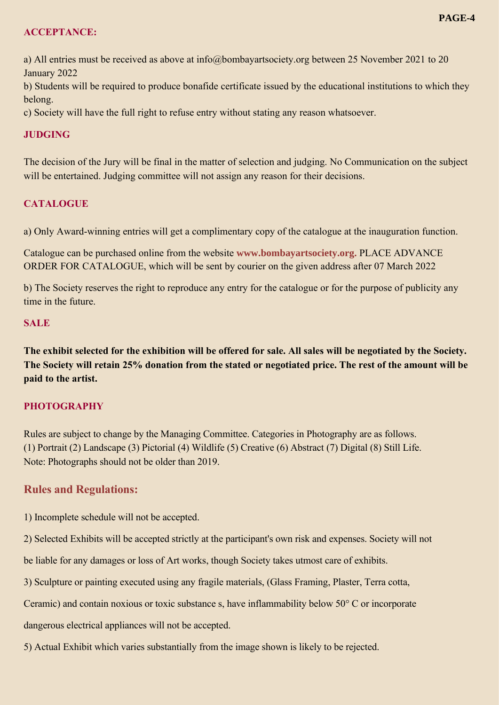#### **ACCEPTANCE:**

a) All entries must be received as above at info@bombayartsociety.org between 25 November 2021 to 20 January 2022

b) Students will be required to produce bonafide certificate issued by the educational institutions to which they belong.

c) Society will have the full right to refuse entry without stating any reason whatsoever.

### **JUDGING**

The decision of the Jury will be final in the matter of selection and judging. No Communication on the subject will be entertained. Judging committee will not assign any reason for their decisions.

### **CATALOGUE**

a) Only Award-winning entries will get a complimentary copy of the catalogue at the inauguration function.

Catalogue can be purchased online from the website **www.bombayartsociety.org.** PLACE ADVANCE ORDER FOR CATALOGUE, which will be sent by courier on the given address after 07 March 2022

b) The Society reserves the right to reproduce any entry for the catalogue or for the purpose of publicity any time in the future.

#### **SALE**

**The exhibit selected for the exhibition will be offered for sale. All sales will be negotiated by the Society. The Society will retain 25% donation from the stated or negotiated price. The rest of the amount will be paid to the artist.**

## **PHOTOGRAPHY**

Rules are subject to change by the Managing Committee. Categories in Photography are as follows. (1) Portrait (2) Landscape (3) Pictorial (4) Wildlife (5) Creative (6) Abstract (7) Digital (8) Still Life. Note: Photographs should not be older than 2019.

## **Rules and Regulations:**

1) Incomplete schedule will not be accepted.

2) Selected Exhibits will be accepted strictly at the participant's own risk and expenses. Society will not

be liable for any damages or loss of Art works, though Society takes utmost care of exhibits.

3) Sculpture or painting executed using any fragile materials, (Glass Framing, Plaster, Terra cotta,

Ceramic) and contain noxious or toxic substance s, have inflammability below 50° C or incorporate

dangerous electrical appliances will not be accepted.

5) Actual Exhibit which varies substantially from the image shown is likely to be rejected.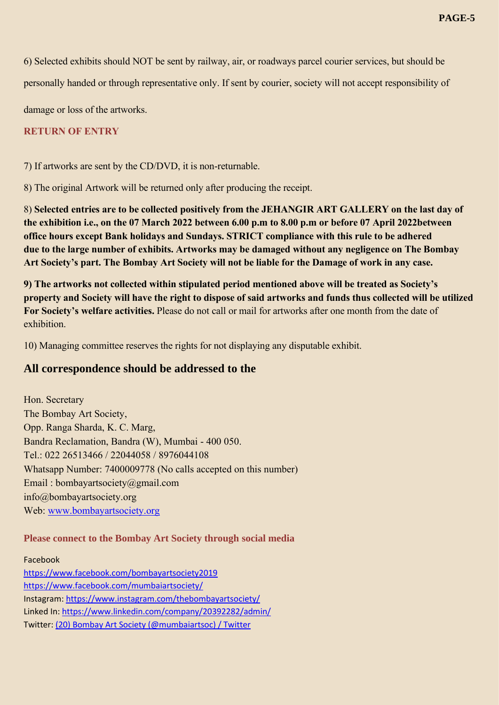6) Selected exhibits should NOT be sent by railway, air, or roadways parcel courier services, but should be

personally handed or through representative only. If sent by courier, society will not accept responsibility of

damage or loss of the artworks.

#### **RETURN OF ENTRY**

7) If artworks are sent by the CD/DVD, it is non-returnable.

8) The original Artwork will be returned only after producing the receipt.

8) **Selected entries are to be collected positively from the JEHANGIR ART GALLERY on the last day of the exhibition i.e., on the 07 March 2022 between 6.00 p.m to 8.00 p.m or before 07 April 2022between office hours except Bank holidays and Sundays. STRICT compliance with this rule to be adhered due to the large number of exhibits. Artworks may be damaged without any negligence on The Bombay Art Society's part. The Bombay Art Society will not be liable for the Damage of work in any case.**

**9) The artworks not collected within stipulated period mentioned above will be treated as Society's property and Society will have the right to dispose of said artworks and funds thus collected will be utilized For Society's welfare activities.** Please do not call or mail for artworks after one month from the date of exhibition.

10) Managing committee reserves the rights for not displaying any disputable exhibit.

## **All correspondence should be addressed to the**

Hon. Secretary The Bombay Art Society, Opp. Ranga Sharda, K. C. Marg, Bandra Reclamation, Bandra (W), Mumbai - 400 050. Tel.: 022 26513466 / 22044058 / 8976044108 Whatsapp Number: 7400009778 (No calls accepted on this number) Email : bombayartsociety@gmail.com info@bombayartsociety.org Web: [www.bombayartsociety.org](http://www.bombayartsociety.org/)

#### **Please connect to the Bombay Art Society through social media**

Facebook <https://www.facebook.com/bombayartsociety2019> <https://www.facebook.com/mumbaiartsociety/> Instagram[: https://www.instagram.com/thebombayartsociety/](https://www.instagram.com/thebombayartsociety/) Linked In:<https://www.linkedin.com/company/20392282/admin/> Twitter: [\(20\) Bombay Art Society \(@mumbaiartsoc\) / Twitter](https://twitter.com/mumbaiartsoc)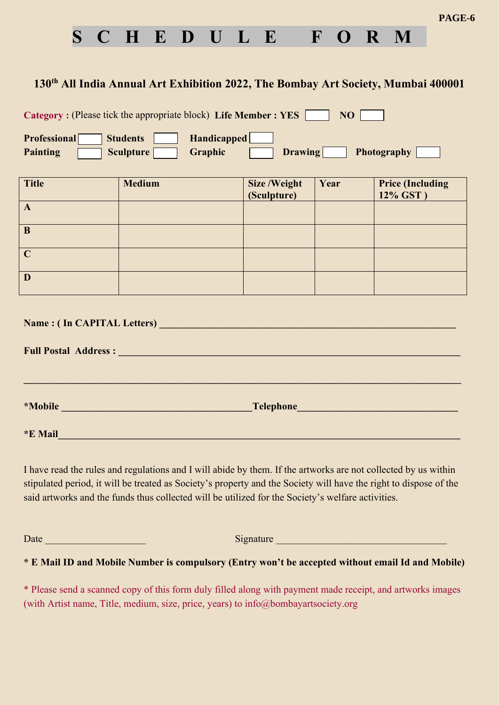

# **130th All India Annual Art Exhibition 2022, The Bombay Art Society, Mumbai 400001**

**Category :** (Please tick the appropriate block) **Life Member : YES** NO |

| <b>Professional</b> | <b>Students</b>                         | <b>Handicapped</b> |                |             |
|---------------------|-----------------------------------------|--------------------|----------------|-------------|
| Painting            | $\blacksquare$ Sculpture $\blacksquare$ | <b>Graphic</b>     | <b>Drawing</b> | Photography |

| <b>Title</b> | <b>Medium</b> | <b>Size /Weight</b><br>(Sculpture) | Year | <b>Price (Including)</b><br>12% GST) |
|--------------|---------------|------------------------------------|------|--------------------------------------|
| A            |               |                                    |      |                                      |
| B            |               |                                    |      |                                      |
| $\mathbf C$  |               |                                    |      |                                      |
| D            |               |                                    |      |                                      |

| Name: (In CAPITAL Letters)                                                                                     |                                                  |  |  |  |  |
|----------------------------------------------------------------------------------------------------------------|--------------------------------------------------|--|--|--|--|
| Full Postal Address : New York Contract to the Contract of the Contract of the Contract of the Contract of the |                                                  |  |  |  |  |
|                                                                                                                |                                                  |  |  |  |  |
|                                                                                                                |                                                  |  |  |  |  |
| <i>*Mobile</i><br><u> 1989 - Johann Barbara, martxa amerikan personal (</u>                                    | Telephone <b>Executive Contract of Telephone</b> |  |  |  |  |
|                                                                                                                |                                                  |  |  |  |  |
| <i>*E</i> Mail                                                                                                 |                                                  |  |  |  |  |

I have read the rules and regulations and I will abide by them. If the artworks are not collected by us within stipulated period, it will be treated as Society's property and the Society will have the right to dispose of the said artworks and the funds thus collected will be utilized for the Society's welfare activities.

Date \_\_\_\_\_\_\_\_\_\_\_\_\_\_\_\_\_\_\_\_ Signature \_\_\_\_\_\_\_\_\_\_\_\_\_\_\_\_\_\_\_\_\_\_\_\_\_\_\_\_\_\_\_\_\_\_

**\* E Mail ID and Mobile Number is compulsory (Entry won't be accepted without email Id and Mobile)**

\* Please send a scanned copy of this form duly filled along with payment made receipt, and artworks images (with Artist name, Title, medium, size, price, years) to info@bombayartsociety.org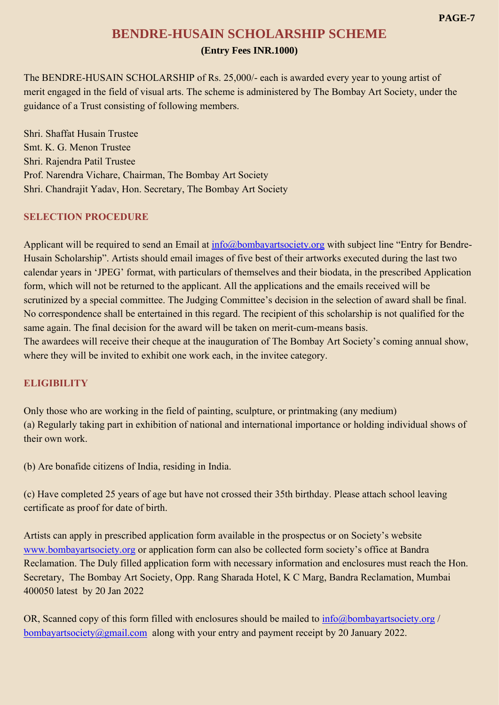# **BENDRE-HUSAIN SCHOLARSHIP SCHEME (Entry Fees INR.1000)**

The BENDRE-HUSAIN SCHOLARSHIP of Rs. 25,000/- each is awarded every year to young artist of merit engaged in the field of visual arts. The scheme is administered by The Bombay Art Society, under the guidance of a Trust consisting of following members.

Shri. Shaffat Husain Trustee Smt. K. G. Menon Trustee Shri. Rajendra Patil Trustee Prof. Narendra Vichare, Chairman, The Bombay Art Society Shri. Chandrajit Yadav, Hon. Secretary, The Bombay Art Society

#### **SELECTION PROCEDURE**

Applicant will be required to send an Email at [info@bombayartsociety.org](mailto:info@bombayartsociety.org) with subject line "Entry for Bendre-Husain Scholarship". Artists should email images of five best of their artworks executed during the last two calendar years in 'JPEG' format, with particulars of themselves and their biodata, in the prescribed Application form, which will not be returned to the applicant. All the applications and the emails received will be scrutinized by a special committee. The Judging Committee's decision in the selection of award shall be final. No correspondence shall be entertained in this regard. The recipient of this scholarship is not qualified for the same again. The final decision for the award will be taken on merit-cum-means basis. The awardees will receive their cheque at the inauguration of The Bombay Art Society's coming annual show, where they will be invited to exhibit one work each, in the invitee category.

#### **ELIGIBILITY**

Only those who are working in the field of painting, sculpture, or printmaking (any medium) (a) Regularly taking part in exhibition of national and international importance or holding individual shows of their own work.

(b) Are bonafide citizens of India, residing in India.

(c) Have completed 25 years of age but have not crossed their 35th birthday. Please attach school leaving certificate as proof for date of birth.

Artists can apply in prescribed application form available in the prospectus or on Society's website [www.bombayartsociety.org](http://www.bombayartsociety.org/) or application form can also be collected form society's office at Bandra Reclamation. The Duly filled application form with necessary information and enclosures must reach the Hon. Secretary, The Bombay Art Society, Opp. Rang Sharada Hotel, K C Marg, Bandra Reclamation, Mumbai 400050 latest by 20 Jan 2022

OR, Scanned copy of this form filled with enclosures should be mailed to [info@bombayartsociety.org](mailto:info@bombayartsociety.org) / [bombayartsociety@gmail.com](mailto:bombayartsociety@gmail.com) along with your entry and payment receipt by 20 January 2022.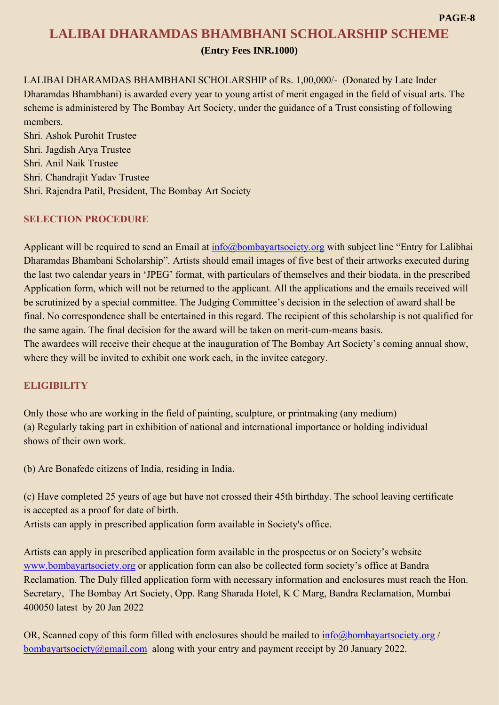# **LALIBAI DHARAMDAS BHAMBHANI SCHOLARSHIP SCHEME (Entry Fees INR.1000)**

LALIBAI DHARAMDAS BHAMBHANI SCHOLARSHIP of Rs. 1,00,000/- (Donated by Late Inder Dharamdas Bhambhani) is awarded every year to young artist of merit engaged in the field of visual arts. The scheme is administered by The Bombay Art Society, under the guidance of a Trust consisting of following members.

Shri. Ashok Purohit Trustee Shri. Jagdish Arya Trustee Shri. Anil Naik Trustee Shri. Chandrajit Yadav Trustee Shri. Rajendra Patil, President, The Bombay Art Society

### **SELECTION PROCEDURE**

Applicant will be required to send an Email at [info@bombayartsociety.org](mailto:info@bombayartsociety.org) with subject line "Entry for Lalibhai Dharamdas Bhambani Scholarship". Artists should email images of five best of their artworks executed during the last two calendar years in 'JPEG' format, with particulars of themselves and their biodata, in the prescribed Application form, which will not be returned to the applicant. All the applications and the emails received will be scrutinized by a special committee. The Judging Committee's decision in the selection of award shall be final. No correspondence shall be entertained in this regard. The recipient of this scholarship is not qualified for the same again. The final decision for the award will be taken on merit-cum-means basis. The awardees will receive their cheque at the inauguration of The Bombay Art Society's coming annual show, where they will be invited to exhibit one work each, in the invitee category.

## **ELIGIBILITY**

Only those who are working in the field of painting, sculpture, or printmaking (any medium) (a) Regularly taking part in exhibition of national and international importance or holding individual shows of their own work.

(b) Are Bonafede citizens of India, residing in India.

(c) Have completed 25 years of age but have not crossed their 45th birthday. The school leaving certificate is accepted as a proof for date of birth.

Artists can apply in prescribed application form available in Society's office.

Artists can apply in prescribed application form available in the prospectus or on Society's website [www.bombayartsociety.org](http://www.bombayartsociety.org/) or application form can also be collected form society's office at Bandra Reclamation. The Duly filled application form with necessary information and enclosures must reach the Hon. Secretary, The Bombay Art Society, Opp. Rang Sharada Hotel, K C Marg, Bandra Reclamation, Mumbai 400050 latest by 20 Jan 2022

OR, Scanned copy of this form filled with enclosures should be mailed to [info@bombayartsociety.org](mailto:info@bombayartsociety.org) / [bombayartsociety@gmail.com](mailto:bombayartsociety@gmail.com) along with your entry and payment receipt by 20 January 2022.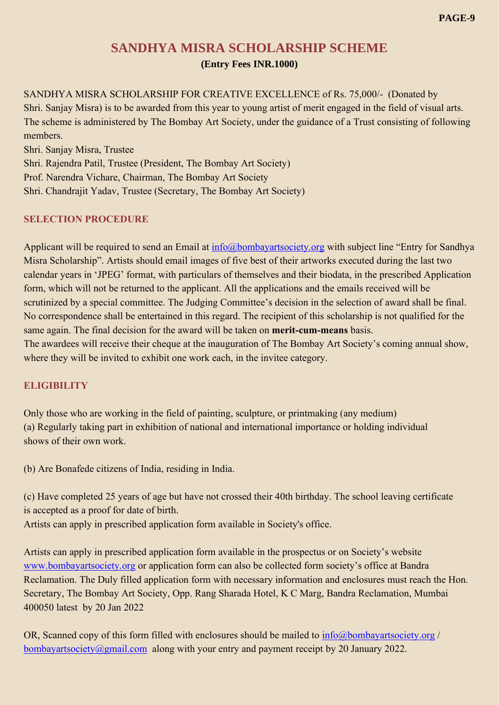# **SANDHYA MISRA SCHOLARSHIP SCHEME (Entry Fees INR.1000)**

SANDHYA MISRA SCHOLARSHIP FOR CREATIVE EXCELLENCE of Rs. 75,000/- (Donated by Shri. Sanjay Misra) is to be awarded from this year to young artist of merit engaged in the field of visual arts. The scheme is administered by The Bombay Art Society, under the guidance of a Trust consisting of following members.

Shri. Sanjay Misra, Trustee Shri. Rajendra Patil, Trustee (President, The Bombay Art Society) Prof. Narendra Vichare, Chairman, The Bombay Art Society Shri. Chandrajit Yadav, Trustee (Secretary, The Bombay Art Society)

#### **SELECTION PROCEDURE**

Applicant will be required to send an Email at [info@bombayartsociety.org](mailto:info@bombayartsociety.org) with subject line "Entry for Sandhya Misra Scholarship". Artists should email images of five best of their artworks executed during the last two calendar years in 'JPEG' format, with particulars of themselves and their biodata, in the prescribed Application form, which will not be returned to the applicant. All the applications and the emails received will be scrutinized by a special committee. The Judging Committee's decision in the selection of award shall be final. No correspondence shall be entertained in this regard. The recipient of this scholarship is not qualified for the same again. The final decision for the award will be taken on **merit-cum-means** basis. The awardees will receive their cheque at the inauguration of The Bombay Art Society's coming annual show, where they will be invited to exhibit one work each, in the invitee category.

## **ELIGIBILITY**

Only those who are working in the field of painting, sculpture, or printmaking (any medium) (a) Regularly taking part in exhibition of national and international importance or holding individual shows of their own work.

(b) Are Bonafede citizens of India, residing in India.

(c) Have completed 25 years of age but have not crossed their 40th birthday. The school leaving certificate is accepted as a proof for date of birth.

Artists can apply in prescribed application form available in Society's office.

Artists can apply in prescribed application form available in the prospectus or on Society's website [www.bombayartsociety.org](http://www.bombayartsociety.org/) or application form can also be collected form society's office at Bandra Reclamation. The Duly filled application form with necessary information and enclosures must reach the Hon. Secretary, The Bombay Art Society, Opp. Rang Sharada Hotel, K C Marg, Bandra Reclamation, Mumbai 400050 latest by 20 Jan 2022

OR, Scanned copy of this form filled with enclosures should be mailed to [info@bombayartsociety.org](mailto:info@bombayartsociety.org) / [bombayartsociety@gmail.com](mailto:bombayartsociety@gmail.com) along with your entry and payment receipt by 20 January 2022.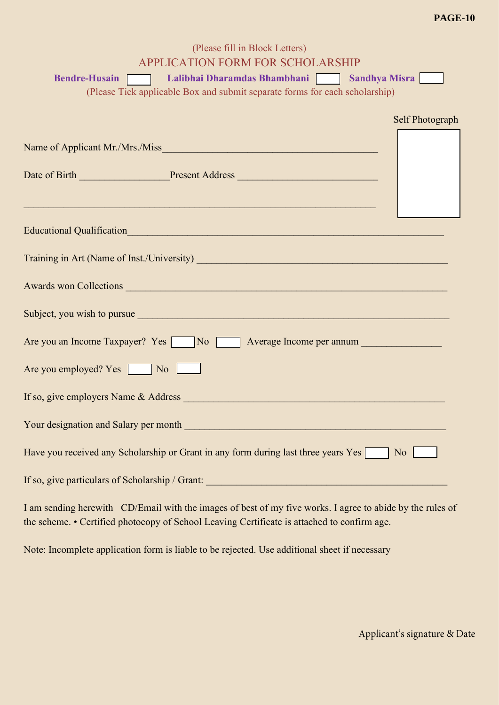#### **PAGE-10**

| (Please fill in Block Letters)                                                                                                                                                                                                |                 |
|-------------------------------------------------------------------------------------------------------------------------------------------------------------------------------------------------------------------------------|-----------------|
| <b>APPLICATION FORM FOR SCHOLARSHIP</b>                                                                                                                                                                                       |                 |
| Lalibhai Dharamdas Bhambhani   Sandhya Misra  <br><b>Bendre-Husain</b>                                                                                                                                                        |                 |
| (Please Tick applicable Box and submit separate forms for each scholarship)                                                                                                                                                   |                 |
|                                                                                                                                                                                                                               |                 |
|                                                                                                                                                                                                                               | Self Photograph |
|                                                                                                                                                                                                                               |                 |
|                                                                                                                                                                                                                               |                 |
| Date of Birth Present Address Present Address                                                                                                                                                                                 |                 |
|                                                                                                                                                                                                                               |                 |
| Educational Qualification and the contract of the contract of the contract of the contract of the contract of                                                                                                                 |                 |
| Training in Art (Name of Inst./University) Manual Art (Name of Inst./University)                                                                                                                                              |                 |
| Awards won Collections and the contract of the contract of the contract of the contract of the contract of the                                                                                                                |                 |
| Subject, you wish to pursue subsettle and the set of the set of the set of the set of the set of the set of the set of the set of the set of the set of the set of the set of the set of the set of the set of the set of the |                 |
| Are you an Income Taxpayer? Yes No No Average Income per annum                                                                                                                                                                |                 |
| Are you employed? Yes No                                                                                                                                                                                                      |                 |
|                                                                                                                                                                                                                               |                 |
|                                                                                                                                                                                                                               |                 |
| Have you received any Scholarship or Grant in any form during last three years Yes<br>N <sub>o</sub>                                                                                                                          |                 |
| If so, give particulars of Scholarship / Grant:<br><u> 1999 - Johann Barbara, martxa amerikan personal (h. 1989).</u>                                                                                                         |                 |

I am sending herewith CD/Email with the images of best of my five works. I agree to abide by the rules of the scheme. • Certified photocopy of School Leaving Certificate is attached to confirm age.

Note: Incomplete application form is liable to be rejected. Use additional sheet if necessary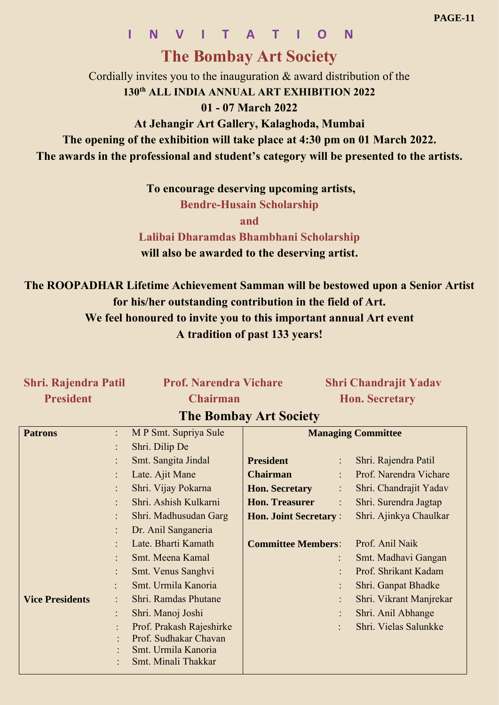# **I N V I T A T I O N**

# **The Bombay Art Society**

Cordially invites you to the inauguration & award distribution of the **130th ALL INDIA ANNUAL ART EXHIBITION 2022**

# **01 - 07 March 2022**

**At Jehangir Art Gallery, Kalaghoda, Mumbai**

**The opening of the exhibition will take place at 4:30 pm on 01 March 2022.**

**The awards in the professional and student's category will be presented to the artists.** 

**To encourage deserving upcoming artists,**

**Bendre-Husain Scholarship**

**and**

**Lalibai Dharamdas Bhambhani Scholarship will also be awarded to the deserving artist.**

**The ROOPADHAR Lifetime Achievement Samman will be bestowed upon a Senior Artist for his/her outstanding contribution in the field of Art. We feel honoured to invite you to this important annual Art event A tradition of past 133 years!**

# **Shri. Rajendra Patil Prof. Narendra Vichare Shri Chandrajit Yadav President Chairman Hon. Secretary**

# **The Bombay Art Society**

| <b>Patrons</b>         | $\ddot{\cdot}$ | M P Smt. Supriya Sule    | <b>Managing Committee</b>               |                         |  |
|------------------------|----------------|--------------------------|-----------------------------------------|-------------------------|--|
|                        | $\bullet$      | Shri. Dilip De           |                                         |                         |  |
|                        |                | Smt. Sangita Jindal      | <b>President</b><br>$\vdots$            | Shri. Rajendra Patil    |  |
|                        |                | Late. Ajit Mane          | <b>Chairman</b>                         | Prof. Narendra Vichare  |  |
|                        |                | Shri. Vijay Pokarna      | <b>Hon. Secretary</b><br>$\ddot{\cdot}$ | Shri. Chandrajit Yadav  |  |
|                        |                | Shri. Ashish Kulkarni    | <b>Hon. Treasurer</b>                   | Shri. Surendra Jagtap   |  |
|                        |                | Shri. Madhusudan Garg    | <b>Hon. Joint Secretary:</b>            | Shri. Ajinkya Chaulkar  |  |
|                        |                | Dr. Anil Sanganeria      |                                         |                         |  |
|                        |                | Late. Bharti Kamath      | <b>Committee Members:</b>               | Prof. Anil Naik         |  |
|                        |                | Smt. Meena Kamal         | $\ddot{\cdot}$                          | Smt. Madhavi Gangan     |  |
|                        | $\bullet$      | Smt. Venus Sanghvi       | $\bullet$                               | Prof. Shrikant Kadam    |  |
|                        |                | Smt. Urmila Kanoria      | $\ddot{\cdot}$                          | Shri. Ganpat Bhadke     |  |
| <b>Vice Presidents</b> |                | Shri. Ramdas Phutane     | $\ddot{\cdot}$                          | Shri. Vikrant Manjrekar |  |
|                        | $\ddot{\cdot}$ | Shri. Manoj Joshi        |                                         | Shri. Anil Abhange      |  |
|                        |                | Prof. Prakash Rajeshirke | $\ddot{\cdot}$                          | Shri. Vielas Salunkke   |  |
|                        |                | Prof. Sudhakar Chavan    |                                         |                         |  |
|                        |                | Smt. Urmila Kanoria      |                                         |                         |  |
|                        |                | Smt. Minali Thakkar      |                                         |                         |  |